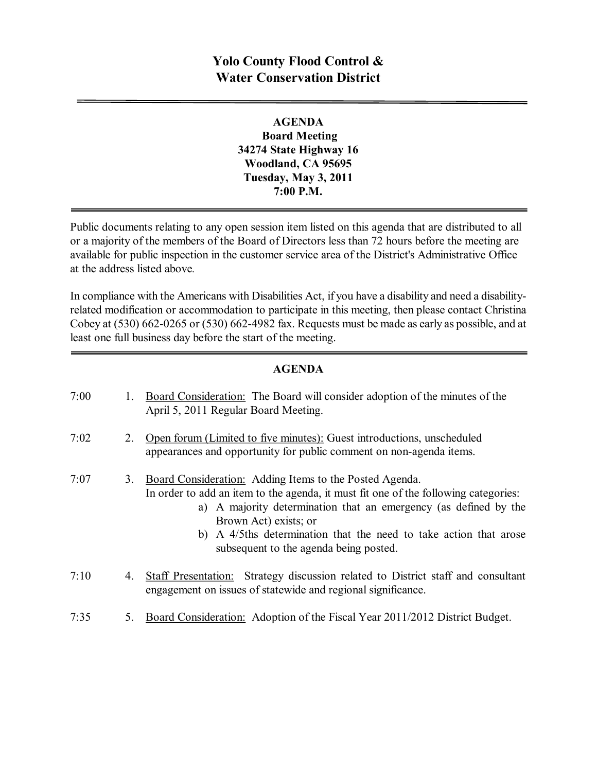# **Yolo County Flood Control & Water Conservation District**

**AGENDA Board Meeting 34274 State Highway 16 Woodland, CA 95695 Tuesday, May 3, 2011 7:00 P.M.**

Public documents relating to any open session item listed on this agenda that are distributed to all or a majority of the members of the Board of Directors less than 72 hours before the meeting are available for public inspection in the customer service area of the District's Administrative Office at the address listed above*.*

In compliance with the Americans with Disabilities Act, if you have a disability and need a disabilityrelated modification or accommodation to participate in this meeting, then please contact Christina Cobey at  $(530)$  662-0265 or  $(530)$  662-4982 fax. Requests must be made as early as possible, and at least one full business day before the start of the meeting.

### **AGENDA**

| 7:00 | 1. | Board Consideration: The Board will consider adoption of the minutes of the<br>April 5, 2011 Regular Board Meeting.                                                                                                                                                                                                                                        |
|------|----|------------------------------------------------------------------------------------------------------------------------------------------------------------------------------------------------------------------------------------------------------------------------------------------------------------------------------------------------------------|
| 7:02 | 2. | Open forum (Limited to five minutes): Guest introductions, unscheduled<br>appearances and opportunity for public comment on non-agenda items.                                                                                                                                                                                                              |
| 7:07 | 3. | Board Consideration: Adding Items to the Posted Agenda.<br>In order to add an item to the agenda, it must fit one of the following categories:<br>a) A majority determination that an emergency (as defined by the<br>Brown Act) exists; or<br>b) A 4/5ths determination that the need to take action that arose<br>subsequent to the agenda being posted. |
| 7:10 | 4. | Staff Presentation: Strategy discussion related to District staff and consultant<br>engagement on issues of statewide and regional significance.                                                                                                                                                                                                           |
| 7:35 | 5. | Board Consideration: Adoption of the Fiscal Year 2011/2012 District Budget.                                                                                                                                                                                                                                                                                |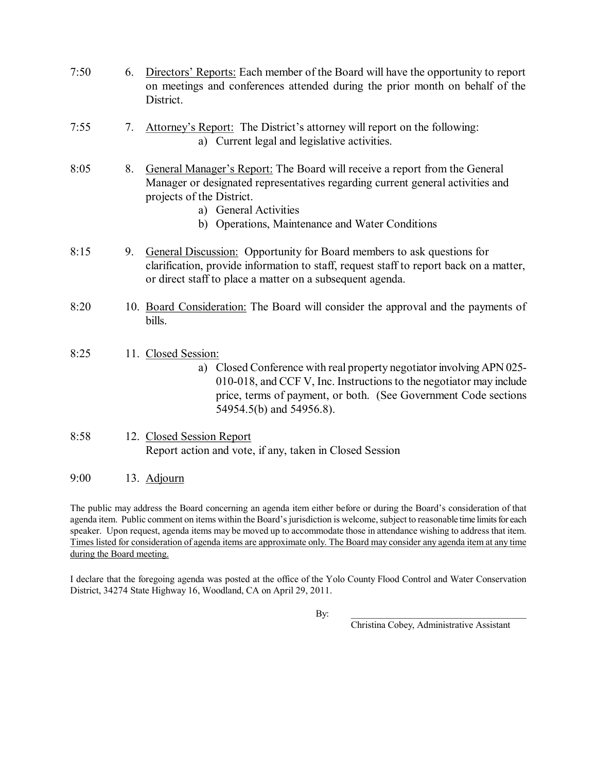| 7:50 | 6. | Directors' Reports: Each member of the Board will have the opportunity to report<br>on meetings and conferences attended during the prior month on behalf of the<br>District.                                                                                         |
|------|----|-----------------------------------------------------------------------------------------------------------------------------------------------------------------------------------------------------------------------------------------------------------------------|
| 7:55 | 7. | Attorney's Report: The District's attorney will report on the following:<br>a) Current legal and legislative activities.                                                                                                                                              |
| 8:05 | 8. | General Manager's Report: The Board will receive a report from the General<br>Manager or designated representatives regarding current general activities and<br>projects of the District.<br>a) General Activities<br>b) Operations, Maintenance and Water Conditions |
| 8:15 | 9. | <b>General Discussion:</b> Opportunity for Board members to ask questions for<br>clarification, provide information to staff, request staff to report back on a matter,<br>or direct staff to place a matter on a subsequent agenda.                                  |
| 8:20 |    | 10. Board Consideration: The Board will consider the approval and the payments of<br>bills.                                                                                                                                                                           |
| 8:25 |    | 11. Closed Session:<br>a) Closed Conference with real property negotiator involving APN 025-<br>010-018, and CCF V, Inc. Instructions to the negotiator may include<br>price, terms of payment, or both. (See Government Code sections<br>54954.5(b) and 54956.8).    |
| 8:58 |    | 12. Closed Session Report<br>Report action and vote, if any, taken in Closed Session                                                                                                                                                                                  |

9:00 13. Adjourn

The public may address the Board concerning an agenda item either before or during the Board's consideration of that agenda item. Public comment on items within the Board's jurisdiction is welcome, subject to reasonable time limits for each speaker. Upon request, agenda items may be moved up to accommodate those in attendance wishing to address that item. Times listed for consideration of agenda items are approximate only. The Board may consider any agenda item at any time during the Board meeting.

I declare that the foregoing agenda was posted at the office of the Yolo County Flood Control and Water Conservation District, 34274 State Highway 16, Woodland, CA on April 29, 2011.

By: \_\_\_\_\_\_\_\_\_\_\_\_\_\_\_\_\_\_\_\_\_\_\_\_\_\_\_\_\_\_\_\_\_\_\_\_\_

Christina Cobey, Administrative Assistant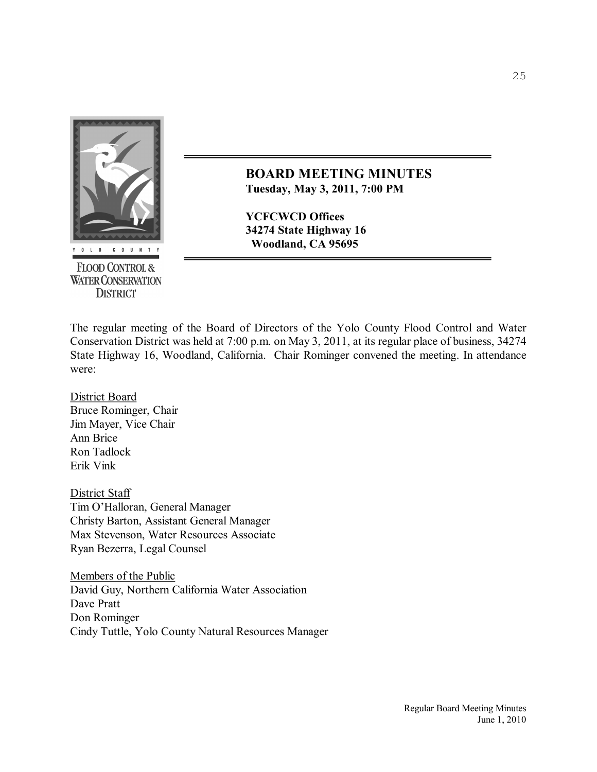

**FLOOD CONTROL & WATER CONSERVATION DISTRICT** 

**BOARD MEETING MINUTES Tuesday, May 3, 2011, 7:00 PM** 

**YCFCWCD Offices 34274 State Highway 16 Woodland, CA 95695**

The regular meeting of the Board of Directors of the Yolo County Flood Control and Water Conservation District was held at 7:00 p.m. on May 3, 2011, at its regular place of business, 34274 State Highway 16, Woodland, California. Chair Rominger convened the meeting. In attendance were:

District Board Bruce Rominger, Chair Jim Mayer, Vice Chair Ann Brice Ron Tadlock Erik Vink

District Staff Tim O'Halloran, General Manager Christy Barton, Assistant General Manager Max Stevenson, Water Resources Associate Ryan Bezerra, Legal Counsel

Members of the Public David Guy, Northern California Water Association Dave Pratt Don Rominger Cindy Tuttle, Yolo County Natural Resources Manager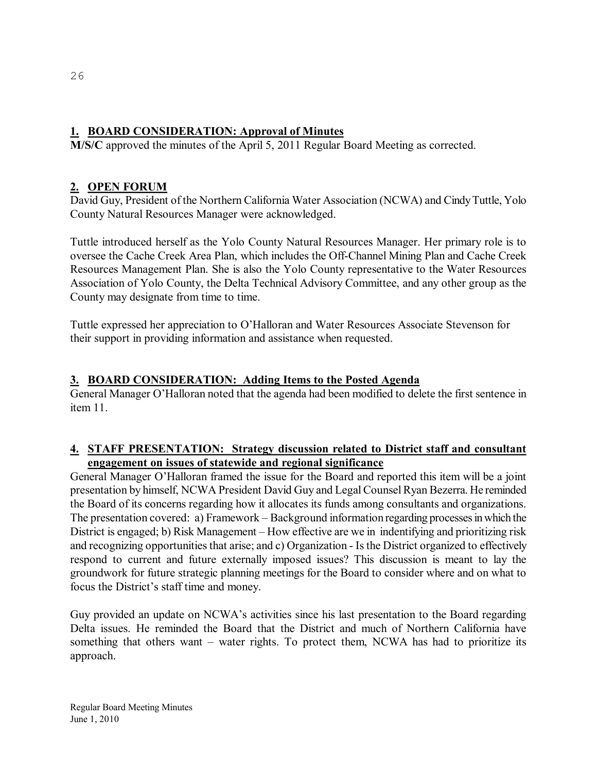## **1. BOARD CONSIDERATION: Approval of Minutes**

**M/S/C** approved the minutes of the April 5, 2011 Regular Board Meeting as corrected.

# **2. OPEN FORUM**

David Guy, President of the Northern California Water Association (NCWA) and CindyTuttle, Yolo County Natural Resources Manager were acknowledged.

Tuttle introduced herself as the Yolo County Natural Resources Manager. Her primary role is to oversee the Cache Creek Area Plan, which includes the Off-Channel Mining Plan and Cache Creek Resources Management Plan. She is also the Yolo County representative to the Water Resources Association of Yolo County, the Delta Technical Advisory Committee, and any other group as the County may designate from time to time.

Tuttle expressed her appreciation to O'Halloran and Water Resources Associate Stevenson for their support in providing information and assistance when requested.

### **3. BOARD CONSIDERATION: Adding Items to the Posted Agenda**

General Manager O'Halloran noted that the agenda had been modified to delete the first sentence in item 11.

### **4. STAFF PRESENTATION: Strategy discussion related to District staff and consultant engagement on issues of statewide and regional significance**

General Manager O'Halloran framed the issue for the Board and reported this item will be a joint presentation by himself, NCWA President David Guy and LegalCounselRyan Bezerra. He reminded the Board of its concerns regarding how it allocates its funds among consultants and organizations. The presentation covered: a) Framework – Background information regarding processes in which the District is engaged; b) Risk Management – How effective are we in indentifying and prioritizing risk and recognizing opportunities that arise; and c) Organization - Is the District organized to effectively respond to current and future externally imposed issues? This discussion is meant to lay the groundwork for future strategic planning meetings for the Board to consider where and on what to focus the District's staff time and money.

Guy provided an update on NCWA's activities since his last presentation to the Board regarding Delta issues. He reminded the Board that the District and much of Northern California have something that others want – water rights. To protect them, NCWA has had to prioritize its approach.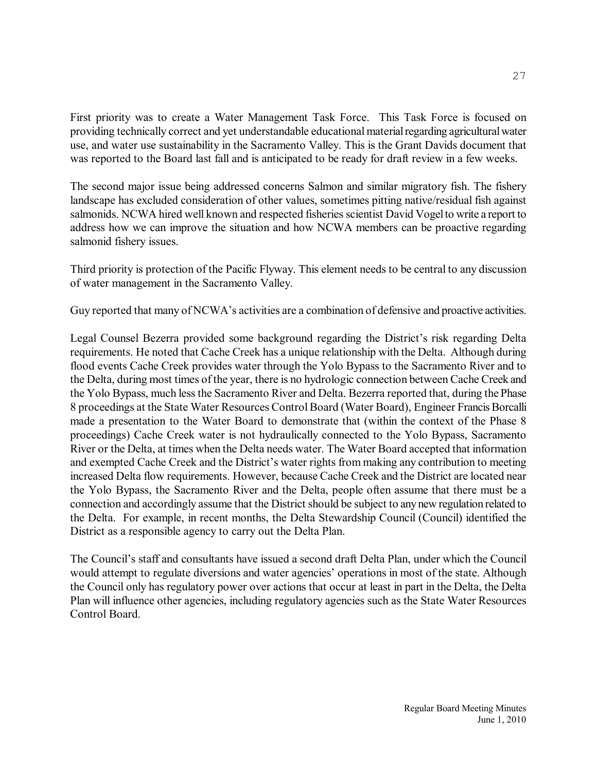First priority was to create a Water Management Task Force. This Task Force is focused on providing technically correct and yet understandable educational material regarding agricultural water use, and water use sustainability in the Sacramento Valley. This is the Grant Davids document that was reported to the Board last fall and is anticipated to be ready for draft review in a few weeks.

The second major issue being addressed concerns Salmon and similar migratory fish. The fishery landscape has excluded consideration of other values, sometimes pitting native/residual fish against salmonids. NCWA hired well known and respected fisheries scientist David Vogel to write a report to address how we can improve the situation and how NCWA members can be proactive regarding salmonid fishery issues.

Third priority is protection of the Pacific Flyway. This element needs to be central to any discussion of water management in the Sacramento Valley.

Guy reported that many of NCWA's activities are a combination of defensive and proactive activities.

Legal Counsel Bezerra provided some background regarding the District's risk regarding Delta requirements. He noted that Cache Creek has a unique relationship with the Delta. Although during flood events Cache Creek provides water through the Yolo Bypass to the Sacramento River and to the Delta, during most times of the year, there is no hydrologic connection between Cache Creek and the Yolo Bypass, much lessthe Sacramento River and Delta. Bezerra reported that, during the Phase 8 proceedings at the State Water Resources Control Board (Water Board), Engineer Francis Borcalli made a presentation to the Water Board to demonstrate that (within the context of the Phase 8 proceedings) Cache Creek water is not hydraulically connected to the Yolo Bypass, Sacramento River or the Delta, at times when the Delta needs water. The Water Board accepted that information and exempted Cache Creek and the District's water rights from making any contribution to meeting increased Delta flow requirements. However, because Cache Creek and the District are located near the Yolo Bypass, the Sacramento River and the Delta, people often assume that there must be a connection and accordingly assume that the District should be subject to anynew regulation related to the Delta. For example, in recent months, the Delta Stewardship Council (Council) identified the District as a responsible agency to carry out the Delta Plan.

The Council's staff and consultants have issued a second draft Delta Plan, under which the Council would attempt to regulate diversions and water agencies' operations in most of the state. Although the Council only has regulatory power over actions that occur at least in part in the Delta, the Delta Plan will influence other agencies, including regulatory agencies such as the State Water Resources Control Board.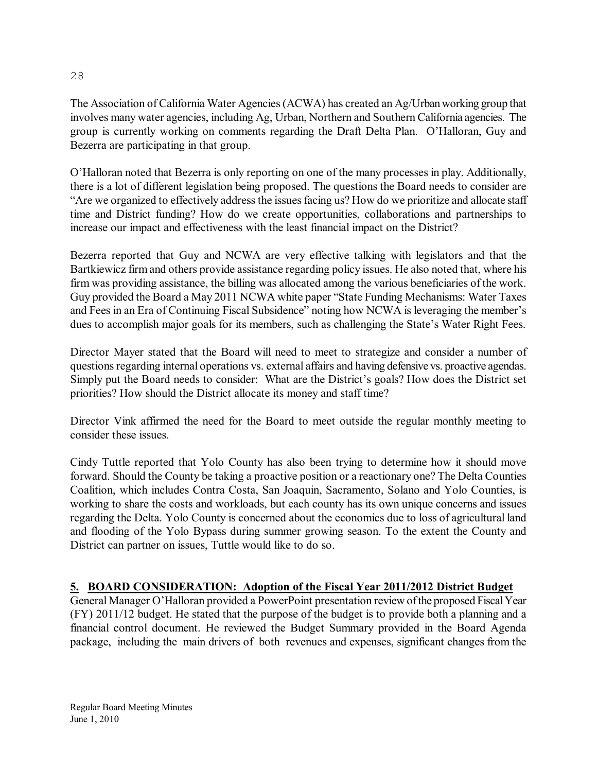### 28

The Association of California Water Agencies (ACWA) has created an Ag/Urban working group that involves many water agencies, including Ag, Urban, Northern and Southern California agencies. The group is currently working on comments regarding the Draft Delta Plan. O'Halloran, Guy and Bezerra are participating in that group.

O'Halloran noted that Bezerra is only reporting on one of the many processes in play. Additionally, there is a lot of different legislation being proposed. The questions the Board needs to consider are "Are we organized to effectively address the issues facing us? How do we prioritize and allocate staff time and District funding? How do we create opportunities, collaborations and partnerships to increase our impact and effectiveness with the least financial impact on the District?

Bezerra reported that Guy and NCWA are very effective talking with legislators and that the Bartkiewicz firm and others provide assistance regarding policy issues. He also noted that, where his firm was providing assistance, the billing was allocated among the various beneficiaries of the work. Guy provided the Board a May 2011 NCWA white paper "State Funding Mechanisms: Water Taxes and Fees in an Era of Continuing Fiscal Subsidence" noting how NCWA is leveraging the member's dues to accomplish major goals for its members, such as challenging the State's Water Right Fees.

Director Mayer stated that the Board will need to meet to strategize and consider a number of questions regarding internal operations vs. external affairs and having defensive vs. proactive agendas. Simply put the Board needs to consider: What are the District's goals? How does the District set priorities? How should the District allocate its money and staff time?

Director Vink affirmed the need for the Board to meet outside the regular monthly meeting to consider these issues.

Cindy Tuttle reported that Yolo County has also been trying to determine how it should move forward. Should the County be taking a proactive position or a reactionary one? The Delta Counties Coalition, which includes Contra Costa, San Joaquin, Sacramento, Solano and Yolo Counties, is working to share the costs and workloads, but each county has its own unique concerns and issues regarding the Delta. Yolo County is concerned about the economics due to loss of agricultural land and flooding of the Yolo Bypass during summer growing season. To the extent the County and District can partner on issues, Tuttle would like to do so.

# **5. BOARD CONSIDERATION: Adoption of the Fiscal Year 2011/2012 District Budget**

General Manager O'Halloran provided a PowerPoint presentation review ofthe proposed FiscalYear (FY) 2011/12 budget. He stated that the purpose of the budget is to provide both a planning and a financial control document. He reviewed the Budget Summary provided in the Board Agenda package, including the main drivers of both revenues and expenses, significant changes from the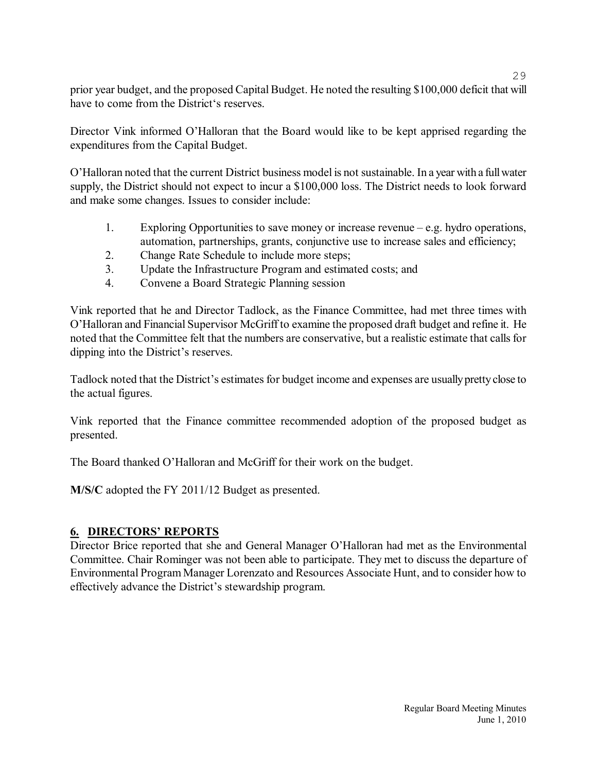prior year budget, and the proposed Capital Budget. He noted the resulting \$100,000 deficit that will have to come from the District's reserves.

Director Vink informed O'Halloran that the Board would like to be kept apprised regarding the expenditures from the Capital Budget.

O'Halloran noted that the current District business model is not sustainable. In a year with a fullwater supply, the District should not expect to incur a \$100,000 loss. The District needs to look forward and make some changes. Issues to consider include:

- 1. Exploring Opportunities to save money or increase revenue e.g. hydro operations, automation, partnerships, grants, conjunctive use to increase sales and efficiency;
- 2. Change Rate Schedule to include more steps;
- 3. Update the Infrastructure Program and estimated costs; and
- 4. Convene a Board Strategic Planning session

Vink reported that he and Director Tadlock, as the Finance Committee, had met three times with O'Halloran and Financial Supervisor McGriff to examine the proposed draft budget and refine it. He noted that the Committee felt that the numbers are conservative, but a realistic estimate that calls for dipping into the District's reserves.

Tadlock noted that the District's estimates for budget income and expenses are usually pretty close to the actual figures.

Vink reported that the Finance committee recommended adoption of the proposed budget as presented.

The Board thanked O'Halloran and McGriff for their work on the budget.

**M/S/C** adopted the FY 2011/12 Budget as presented.

## **6. DIRECTORS' REPORTS**

Director Brice reported that she and General Manager O'Halloran had met as the Environmental Committee. Chair Rominger was not been able to participate. They met to discuss the departure of Environmental Program Manager Lorenzato and Resources Associate Hunt, and to consider how to effectively advance the District's stewardship program.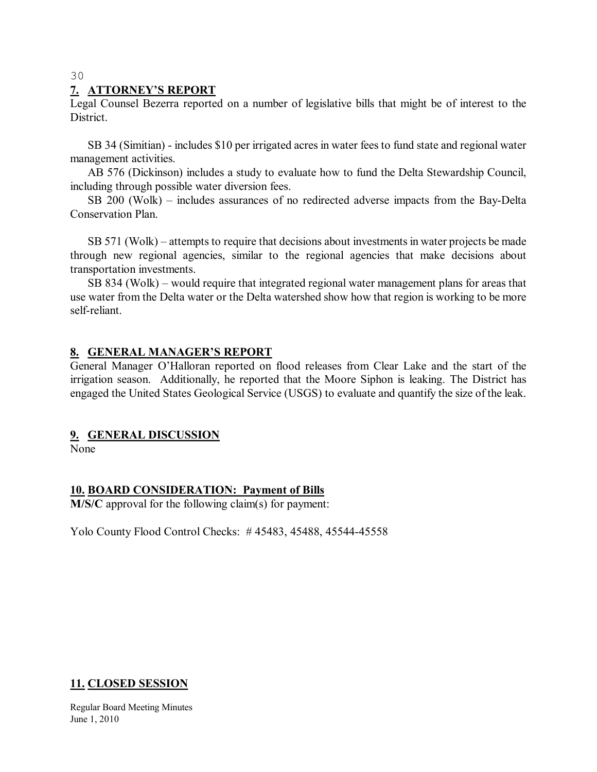30

#### **7. ATTORNEY'S REPORT**

Legal Counsel Bezerra reported on a number of legislative bills that might be of interest to the District.

SB 34 (Simitian) - includes \$10 per irrigated acres in water fees to fund state and regional water management activities.

AB 576 (Dickinson) includes a study to evaluate how to fund the Delta Stewardship Council, including through possible water diversion fees.

SB 200 (Wolk) – includes assurances of no redirected adverse impacts from the Bay-Delta Conservation Plan.

SB 571 (Wolk) – attempts to require that decisions about investments in water projects be made through new regional agencies, similar to the regional agencies that make decisions about transportation investments.

SB 834 (Wolk) – would require that integrated regional water management plans for areas that use water from the Delta water or the Delta watershed show how that region is working to be more self-reliant

#### **8. GENERAL MANAGER'S REPORT**

General Manager O'Halloran reported on flood releases from Clear Lake and the start of the irrigation season. Additionally, he reported that the Moore Siphon is leaking. The District has engaged the United States Geological Service (USGS) to evaluate and quantify the size of the leak.

#### **9. GENERAL DISCUSSION**

None

#### **10. BOARD CONSIDERATION: Payment of Bills**

**M/S/C** approval for the following claim(s) for payment:

Yolo County Flood Control Checks: #45483, 45488, 45544-45558

#### **11. CLOSED SESSION**

Regular Board Meeting Minutes June 1, 2010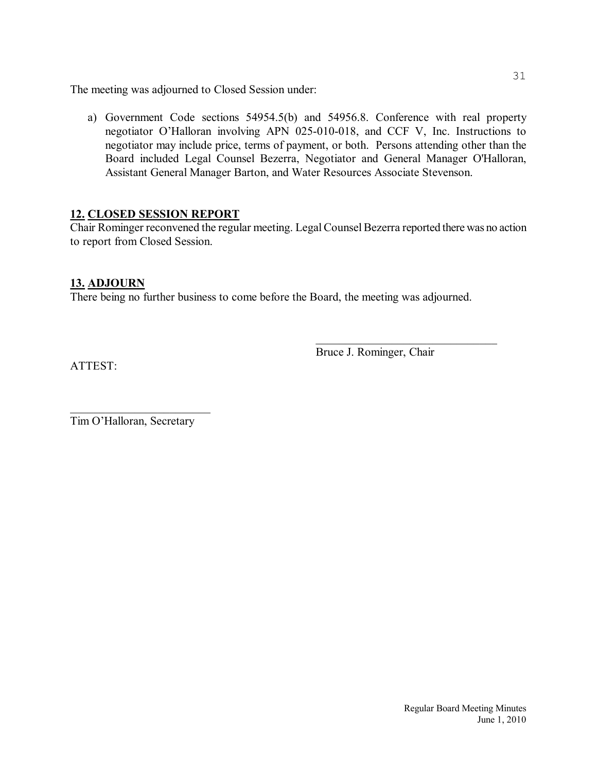The meeting was adjourned to Closed Session under:

a) Government Code sections 54954.5(b) and 54956.8. Conference with real property negotiator O'Halloran involving APN 025-010-018, and CCF V, Inc. Instructions to negotiator may include price, terms of payment, or both. Persons attending other than the Board included Legal Counsel Bezerra, Negotiator and General Manager O'Halloran, Assistant General Manager Barton, and Water Resources Associate Stevenson.

### **12. CLOSED SESSION REPORT**

Chair Rominger reconvened the regular meeting. Legal Counsel Bezerra reported there was no action to report from Closed Session.

### **13. ADJOURN**

There being no further business to come before the Board, the meeting was adjourned.

Bruce J. Rominger, Chair

 $\mathcal{L}_\text{max}$  , and the set of the set of the set of the set of the set of the set of the set of the set of the set of the set of the set of the set of the set of the set of the set of the set of the set of the set of the

ATTEST:

 $\overline{\phantom{a}}$  , which is a set of the set of the set of the set of the set of the set of the set of the set of the set of the set of the set of the set of the set of the set of the set of the set of the set of the set of th Tim O'Halloran, Secretary